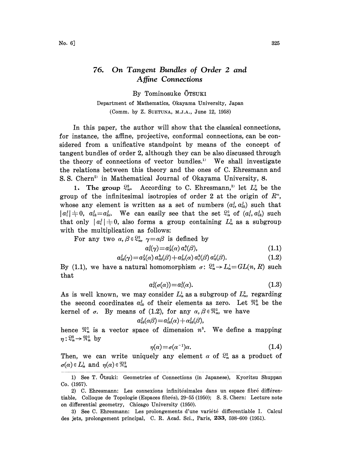## 76. On Tangent Bundles of Order 2 and Affine Connections

By Tominosuke OTSUK

Department of Mathematics, 0kayama University, Japan (Comm. by Z. SUETUNA, M.J.A., June 12, 1958)

In this paper, the author will show that the classical connections, for instance, the affine, projective, conformal connections, can be considered from a unificative standpoint by means of the concept of tangent bundles of order 2, although they can be also discussed through the theory of connections of vector bundles.1) We shall investigate the relations between this theory and the ones of C. Ehresmann and S. S. Chern<sup>2</sup> in Mathematical Journal of Okayama University, 8.

1. The group  $\mathbb{S}_n^2$ . According to C. Ehresmann,<sup>31</sup> let  $L_n^2$  be the group of the infinitesimal isotropies of order 2 at the origin of  $R<sup>n</sup>$ , whose any element is written as a set of numbers  $(a_i, a_i)$  such that  $|a_i^j|+0$ ,  $a_{ik}^j=a_{ki}^j$ . We can easily see that the set  $\mathbb{S}_n^2$  of  $(a_i^j, a_{ik}^j)$  such that only  $|a_i^j| \neq 0$ , also forms a group containing  $L_n^2$  as a subgroup with the multiplication as follows:

For any two  $\alpha, \beta \in \Omega_n^2$ ,  $\gamma = \alpha \beta$  is defined by

$$
a_i^j(\gamma) = a_k^j(\alpha) a_i^k(\beta), \qquad (1.1)
$$

$$
a_{ik}^j(\gamma) = a_k^j(\alpha) a_{ik}^k(\beta) + a_{ki}^j(\alpha) a_i^k(\beta) a_k^l(\beta).
$$
 (1.2)

By (1.1), we have a natural homomorphism  $\sigma: \mathbb{S}^3_n \to L_n^1 = GL(n,R)$  such that

$$
a_i^j(\sigma(\alpha)) = a_i^j(\alpha). \tag{1.3}
$$

As is well known, we may consider  $L_n^1$  as a subgroup of  $L_n^2$ , regarding the second coordinates  $a_{ik}^j$  of their elements as zero. Let  $\mathfrak{N}_n^2$  be the kernel of  $\sigma$ . By means of (1.2), for any  $\alpha, \beta \in \mathbb{R}^3$ , we have

$$
a_{ik}^j(\alpha\beta) \!=\! a_{ik}^j(\alpha) \!+\! \alpha_{ik}^j(\beta),
$$

hence  $\mathfrak{N}_n^3$  is a vector space of dimension  $n^3$ . We define a mapping  $\eta: \mathbb{S}^2_n \to \mathbb{R}^2_n$  by

$$
\eta(\alpha) = \sigma(\alpha^{-1})\alpha. \tag{1.4}
$$

Then, we can write uniquely any element  $\alpha$  of  $\mathbb{S}^2_n$  as a product of  $\sigma(\alpha) \in L_n^1$  and  $\eta(\alpha) \in \mathbb{R}^2_n$ 

<sup>1)</sup> See T. Ötsuki: Geometries of Connections (in Japanese), Kyoritsu Shuppan Co. (1957).

<sup>2)</sup> C. Ehresmann: Les connexions infinitésimales dans un espace fibré différentiable, Colloque de Topologie (Espaces fibrés), 29-55 (1950); S. S. Chern: Lecture note on differential geometry, Chicago University (1950).

<sup>3)</sup> See C. Ehresmann: Les prolongements d'une variété differentiable I. Calcul des jets, prolongement principal, C. R. Acad. Sci., Paris, 233, 598-600 (1951).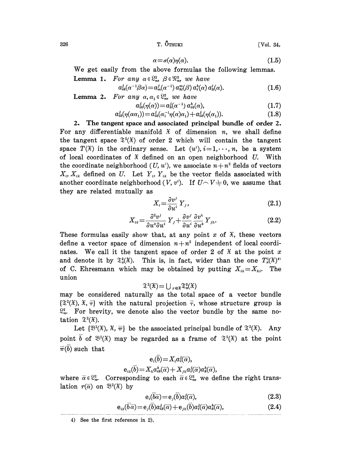$326$  T.  $\bar{O}_{TSUKI}$  [Vol. 34,

$$
\alpha = \sigma(\alpha)\eta(\alpha). \tag{1.5}
$$

We get easily from the above formulas the following lemmas. **Lemma 1.** For any  $\alpha \in \mathbb{S}_n^2$ ,  $\beta \in \mathbb{R}_n^2$ , we have

$$
a_{ik}^j(\alpha^{-1}\beta\alpha) = a_m^j(\alpha^{-1}) a_{ik}^m(\beta) a_i^h(\alpha) a_k^l(\alpha).
$$
 (1.6)

**Lemma 2.** For any  $\alpha, \alpha_1 \in \mathbb{S}_n^2$ , we have

$$
a_{ik}^j(\eta(\alpha)) = a_k^j(\alpha^{-1}) a_{ik}^h(\alpha), \qquad (1.7)
$$

$$
a_{ik}^j(\eta(\alpha\alpha_1)) = a_{ik}^j(\alpha_1^{-1}\eta(\alpha)\alpha_1) + a_{ik}^j(\eta(\alpha_1)).
$$
\n(1.8)

2. The tangent space and associated principal bundle of order 2. For any differentiable manifold  $\tilde{x}$  of dimension n, we shall define the tangent space  $\mathfrak{T}^2(\mathfrak{X})$  of order 2 which will contain the tangent space  $T(\mathfrak{X})$  in the ordinary sense. Let  $(u^i)$ ,  $i=1,\dots, n$ , be a system of local coordinates of  $\mathfrak X$  defined on an open neighborhood U. With the coordinate neighborhood  $(U, u^i)$ , we associate  $n+n^2$  fields of vectors  $X_i, X_{ik}$  defined on U. Let  $Y_i, Y_{ik}$  be the vector fields associated with another coordinate neighborhood  $(V, v^i)$ . If  $U \cap V \neq 0$ , we assume that they are related mutually as

$$
X_i = \frac{\partial v^j}{\partial u^i} Y_j, \tag{2.1}
$$

$$
X_{ik} = \frac{\partial^2 v^j}{\partial u^k \partial u^i} Y_j + \frac{\partial v^j}{\partial u^i} \frac{\partial v^h}{\partial u^k} Y_{jh}.
$$
 (2.2)

 $+\frac{\partial v}{\partial u^i} \frac{\partial v}{\partial u^k} Y_{jh}.$  (2.2)<br>any point x of  $\tilde{x}$ , these vectors<br> $u+n^2$  independent of local coordi-These formulas easily show that, at any point x of  $\tilde{x}$ , these vectors define a vector space of dimension  $n + n^2$  independent of local coordinates. We call it the tangent space of order 2 of  $\mathfrak X$  at the point x and denote it by  $\mathfrak{T}^2_{x}(\mathfrak{X})$ . This is, in fact, wider than the one  $T_x^2(\mathfrak{X})^4$ of C. Ehresmann which may be obtained by putting  $X_{ik} = X_{ki}$ . The union

$$
\mathfrak{T}^2(\mathfrak{X}) = \bigcup_{x \in \mathfrak{X}} \mathfrak{T}^2_x(\mathfrak{X})
$$

may be considered naturally as the total space of a vector bundle  $\{\mathfrak{T}^2(\mathfrak{X}), \mathfrak{X}, \bar{\tau}\}\$  with the natural projection  $\bar{\tau}$ , whose structure group is  $\mathbb{S}_n^2$ . For brevity, we denote also the vector bundle by the same notation  $\mathfrak{T}^2(\mathfrak{X})$ .

Let  $\{\mathfrak{B}^2(\mathfrak{X}), \mathfrak{X}, \overline{\pi}\}\$  be the associated principal bundle of  $\mathfrak{X}^2(\mathfrak{X})$ . Any point b of  $\mathfrak{B}^2(\mathfrak{X})$  may be regarded as a frame of  $\mathfrak{T}^2(\mathfrak{X})$  at the point  $\overline{\pi}(b)$  such that

$$
\mathbf{e}_{\iota}(\overline{b})\!=\!X_{\iota}a_{\iota}^{\jmath}(\overline{\alpha}),\\ \mathbf{e}_{\iota\iota}(\overline{b})\!=\!X_{\iota}a_{\iota\kappa}^{\hbar}(\overline{\alpha})\!+\!X_{\jmath\iota}a_{\iota}^{\jmath}(\overline{\alpha})a_{\kappa}^{\hbar}(\overline{\alpha}),
$$

where  $\bar{\alpha} \in \mathbb{S}_n^2$ . Corresponding to each  $\bar{\alpha} \in \mathbb{S}_n^2$ , we define the right translation  $r(\overline{\alpha})$  on  $\mathfrak{B}^2(\mathfrak{X})$  by

$$
e_i(b\overline{\alpha}) = e_j(b)a_i^j(\overline{\alpha}), \qquad (2.3)
$$

$$
e_{ik}(\overline{b}\overline{\alpha}) = e_j(\overline{b})a_{ik}^j(\overline{\alpha}) + e_{jh}(\overline{b})a_i^j(\overline{\alpha})a_k^k(\overline{\alpha}), \qquad (2.4)
$$

<sup>4)</sup> See the first reference in 2).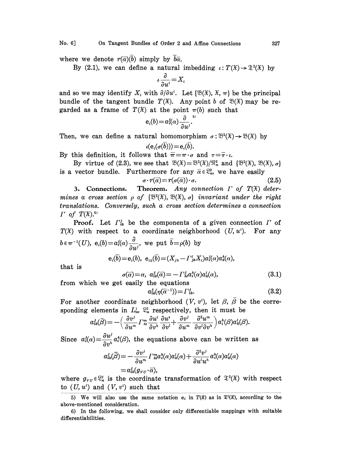No. 6J On Tangent Bundles of Order 2 and Affine Connections 327

where we denote  $r(\vec{\alpha})$  imply by  $\vec{b}\vec{\alpha}$ .

By (2.1), we can define a natural imbedding  $\iota: T(\mathfrak{X}) \to \mathfrak{X}^2(\mathfrak{X})$  by

$$
\iota \frac{\partial}{\partial u^i} = X_i
$$

and so we may identify  $X_i$  with  $\partial/\partial u^i$ . Let  $\{\mathfrak{B}(\mathfrak{X}), \mathfrak{X}, \pi\}$  be the principal bundle of the tangent bundle  $T(\mathfrak{X})$ . Any point b of  $\mathfrak{B}(\mathfrak{X})$  may be regarded as a frame of  $T(\mathfrak{X})$  at the point  $\pi(b)$  such that

$$
\mathsf{e}_i(b) \!=\! a_i^j\!(\alpha) \frac{\partial}{\partial u^j} \cdot
$$

Then, we can define a natural homomorphism  $\sigma : \mathbb{S}^2(\mathfrak{X}) \to \mathbb{S}(\mathfrak{X})$  by

$$
\iota(\mathrm{e}_i(\sigma(\overline{b})))\!=\!\mathrm{e}_i(\overline{b}).
$$

By this definition, it follows that  $\bar{\pi} = \pi \cdot \sigma$  and  $\tau = \bar{\tau} \cdot \iota$ .

By virtue of (2.3), we see that  $\mathfrak{B}(\mathfrak{X})=\mathfrak{B}^2(\mathfrak{X})/\mathfrak{N}_n^2$  and  $\{\mathfrak{B}^2(\mathfrak{X}),\mathfrak{B}(\mathfrak{X}),\sigma\}$ is a vector bundle. Furthermore for any  $\bar{\alpha} \in \mathbb{S}^2_n$ , we have easily

$$
\sigma \cdot r(\overline{\alpha}) = r(\sigma(\overline{\alpha})) \cdot \sigma. \tag{2.5}
$$

3. Connections. Theorem. Any connection  $\Gamma$  of  $T(\mathfrak{X})$  determines a cross section  $\rho$  of  $\{\mathfrak{B}^2(\mathfrak{X}), \mathfrak{B}(\mathfrak{X}), \sigma\}$  invariant under the right translations. Conversely, such a cross section determines a connection  $\Gamma$  of  $T(\mathfrak{X})$ .<sup>6)</sup>

**Proof.** Let  $\Gamma_{ik}^{j}$  be the components of a given connection  $\Gamma$  of  $T(\mathfrak{X})$  with respect to a coordinate neighborhood  $(U, u^i)$ . For any  $b \in \pi^{-1}(U)$ ,  $e_i(b)= a_i^j(\alpha) \frac{\partial}{\partial u^j}$ , we put  $\overline{b}=\rho(b)$  by

that is

$$
e_i(b) = e_i(b), \ e_{ik}(b) = (X_{jh} - \Gamma_{jh}^i X_i) a_i^j(\alpha) a_k^k(\alpha),
$$

$$
\sigma(\overline{\alpha}) = \alpha, \ a_{ik}^j(\overline{\alpha}) = -\Gamma_{jkl}^j a_i^k(\alpha) a_k^l(\alpha), \tag{3.1}
$$

from which we get easily the equations  $a_{ik}^j(\eta(\overline{\alpha}^{-1})) = \Gamma_{ik}^j.$  (3.2)

For another coordinate neighborhood  $(V, v^i)$ , let  $\beta$ ,  $\overline{\beta}$  be the corresponding elements in  $L_n^1$ ,  $\mathbb{S}_n^2$  respectively, then it must be

$$
a_{ik}^j(\overline{\beta}) = -\Big(\frac{\partial v^j}{\partial u^m}\Gamma^m_{is}\frac{\partial u^i}{\partial v^h}\frac{\partial u^s}{\partial v^l} + \frac{\partial v^j}{\partial u^m}\frac{\partial^2 u^m}{\partial v^l\partial v^h}\Big) a_i^k(\beta) a_k^l(\beta).
$$

Since  $a_i^j(\alpha) = \frac{\partial u^j}{\partial \alpha_i^k} a_i^k(\beta)$ , the equations above can be written as

$$
\begin{aligned} a_{ik}^j(\vec{\beta}) &= -\frac{\partial v^j}{\partial u^m} \varGamma_{\hbar}^m a_i^b(\alpha) a_k^l(\alpha) + \frac{\partial^2 v^j}{\partial u^l u^h} a_i^b(\alpha) a_k^l(\alpha) \\ &= a_{ik}^j(g_{\,v\,U} \cdot \vec{\alpha}), \end{aligned}
$$

where  $g_{\nu\sigma}\in\mathbb{S}_n^2$  is the coordinate transformation of  $\mathfrak{T}^2(\mathfrak{X})$  with respect to  $(U, u^i)$  and  $(V, v^i)$  such that

<sup>5)</sup> We will also use the same notation  $e_i$  in  $T(\mathfrak{X})$  as in  $\mathfrak{X}^2(\mathfrak{X})$ , according to the above-mentioned consideration.

<sup>6)</sup> In the following, we shall consider only differentiable mappings with suitable differentiabilities.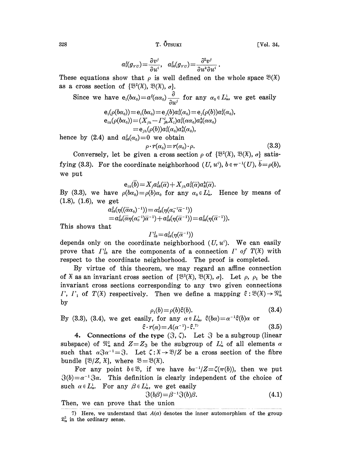$328$  [Vol. 34,

$$
a_i^j(g_{\scriptscriptstyle VU})\!=\!\frac{\partial v^j}{\partial u^i},\ \ a_{ik}^j(g_{\scriptscriptstyle VU})\!=\!\frac{\partial^2 v^j}{\partial u^k \partial u^i}
$$

These equations show that  $\rho$  is well defined on the whole space  $\mathfrak{B}(\mathfrak{X})$ as a cross section of  $\{\mathfrak{B}^2(\mathfrak{X}), \mathfrak{B}(\mathfrak{X}), \sigma\}.$ 

Since we have 
$$
e_i(b\alpha_0) = a^j(\alpha\alpha_0) \frac{\partial}{\partial u^j}
$$
 for any  $\alpha_0 \in L_n^1$ , we get easily

$$
e_i(\rho(b\alpha_0)) = e_i(b\alpha_0) = e_j(b)a_i^j(\alpha_0) = e_j(\rho(b))a_i^j(\alpha_0),
$$
  
\n
$$
e_{ik}(\rho(b\alpha_0)) = (X_{jh} - \Gamma_{jh}^i X_i)a_i^j(\alpha\alpha_0)a_k^k(\alpha\alpha_0)
$$
  
\n
$$
= e_{jh}(\rho(b))a_i^j(\alpha_0)a_k^k(\alpha_0),
$$

hence by (2.4) and  $a_{ik}^j(\alpha_0)=0$  we obtain

$$
\rho \cdot r(\alpha_0) = r(\alpha_0) \cdot \rho. \tag{3.3}
$$

Conversely, let be given a cross section  $\rho$  of  $\{\mathcal{B}^2(\mathfrak{X}), \mathfrak{B}(\mathfrak{X}), \sigma\}$  satisfying (3.3). For the coordinate neighborhood  $(U, u^i)$ ,  $b \in \pi^{-1}(U)$ ,  $b = \rho(b)$ , we put

$$
{\rm e}_{\scriptscriptstyle ik}(\overline{b})\!=\!X_{\scriptscriptstyle j} a_{\scriptscriptstyle ik}^{\scriptscriptstyle j}(\overline{\alpha})\!+\!X_{\scriptscriptstyle jh} a_{\scriptscriptstyle i}^{\scriptscriptstyle j}(\overline{\alpha})a_{\scriptscriptstyle k}^{\scriptscriptstyle h}(\overline{\alpha}).
$$

 $e_{ik}(0) = \Lambda_j a_{ik}^T(\alpha) + \Lambda_{jh} a_{ik}^T(\alpha) a_{ik}^T(\alpha).$ <br>By (3.3), we have  $\rho(b\alpha_0) = \rho(b)\alpha_0$  for any  $\alpha_0 \in L_n^1$ . Hence by means of (1.8), (1.6), we get

$$
\alpha_{ik}^j(\eta((\overline{\alpha}\alpha_0)^{-1})) = \alpha_{ik}^j(\eta(\alpha_0^{-1}\overline{\alpha}^{-1}))
$$
  
=  $\alpha_{ik}^j(\overline{\alpha}\eta(\alpha_0^{-1})\overline{\alpha}^{-1}) + \alpha_{ik}^j(\eta(\overline{\alpha}^{-1})) = \alpha_{ik}^j(\eta(\overline{\alpha}^{-1})).$ 

This shows that

$$
\Gamma_{ik}^j = a_{ik}^j(\eta(\bar{\alpha}^{-1}))
$$

depends only on the coordinate neighborhood  $(U, u^i)$ . We can easily prove that  $\Gamma_{ik}^j$  are the components of a connection  $\Gamma$  of  $T(\mathfrak{X})$  with respect to the coordinate neighborhood. The proof is completed.

By virtue of this theorem, we may regard an affine connection of  $\mathfrak X$  as an invariant cross section of  $\{\mathfrak B^2(\mathfrak X),\mathfrak B(\mathfrak X),\sigma\}$ . Let  $\rho$ ,  $\rho_1$  be the invariant cross sections corresponding to any two given connections *I*,  $\Gamma_1$  of  $T(\mathfrak{X})$  respectively. Then we define a mapping  $\xi : \mathfrak{B}(\mathfrak{X}) \to \mathfrak{N}_n^2$ by

$$
\rho_1(b) = \rho(b)\xi(b). \tag{3.4}
$$

By (3.3), (3.4), we get easily, for any  $\alpha \in L_n^1$ ,  $\xi(b\alpha) = \alpha^{-1}\xi(b)\alpha$  or  $\xi \cdot r(\alpha) = A(\alpha^{-1}) \cdot \xi$ <sup>7</sup> (3.5)

4. Connections of the type  $(\mathcal{F}, \zeta)$ . Let  $\mathcal F$  be a subgroup (linear subspace) of  $\mathfrak{N}_n^2$  and  $Z = Z_3$  be the subgroup of  $L_n^1$  of all elements  $\alpha$ such that  $\alpha \mathcal{S} \alpha^{-1} = \mathcal{S}$ . Let  $\zeta : \mathfrak{X} \to \mathfrak{B}/Z$  be a cross section of the fibre bundle  $\{\mathfrak{B}/Z, \mathfrak{X}\}\)$ , where  $\mathfrak{B}=\mathfrak{B}(\mathfrak{X})$ .

For any point  $b \in \mathcal{B}$ , if we have  $b\alpha^{-1}/Z = \zeta(\pi(b))$ , then we put  $\Im(b) = \alpha^{-1} \Im \alpha$ . This definition is clearly independent of the choice of such  $\alpha \in L_n^1$ . For any  $\beta \in L_n^1$ , we get easily

$$
\mathfrak{F}(b\beta) = \beta^{-1}\mathfrak{F}(b)\beta. \tag{4.1}
$$

Then, we can prove that the union

<sup>7)</sup> Here, we understand that  $A(\alpha)$  denotes the inner automorphism of the group  $\mathbb{S}_n^2$  in the ordinary sense.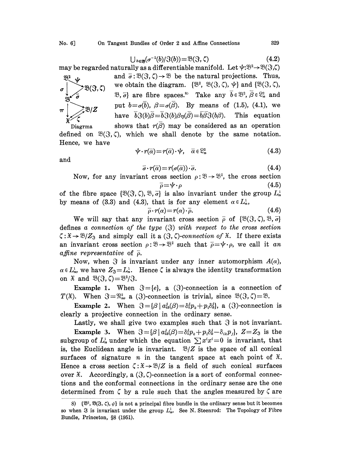$$
\bigcup_{b \in \mathfrak{B}} (\sigma^{-1}(b)/\mathfrak{F}(b)) = \mathfrak{B}(\mathfrak{F}, \zeta) \tag{4.2}
$$

may be regarded naturally as a differentiable manifold. Let  $\psi:\mathbb{B}^2\to\mathbb{B}(\mathbb{S},\zeta)$ 

ay be r<br> $\frac{33^2}{1}$  $\mathfrak{B}(\mathfrak{F},\zeta)$ 

and  $\bar{\sigma}$ :  $\mathfrak{B}(\mathfrak{F}, \zeta) \rightarrow \mathfrak{B}$  be the natural projections. Thus, we obtain the diagram.  $\{\mathfrak{B}^2, \mathfrak{B}(\mathfrak{F}, \zeta), \psi\}$  and  $\{\mathfrak{B}(\mathfrak{F}, \zeta),$ and  $\bar{\sigma}$ :  $\mathfrak{B}(\mathfrak{F}, \zeta) \rightarrow \mathfrak{B}$  be the natural projections. Thus,  $\bigcup_{b \in \mathfrak{B}} (\sigma^{-1}(b)/\mathfrak{F}(b)) = \mathfrak{B}(\mathfrak{F}, \zeta)$  (4.2)<br>
may be regarded naturally as a differentiable manifold. Let  $\psi: \mathfrak{B}^2 \to \mathfrak{B}(\mathfrak{F}, \zeta)$ <br>
and  $\overline{\sigma}: \mathfrak{B}(\mathfrak{F}, \zeta) \to \mathfrak{B}$  be the natural projections put  $b = \sigma(\overline{b})$ ,  $\beta = \sigma(\overline{\beta})$ . By means of (1.5), (4.1), we have  $\overline{b}(\overline{x})(\overline{\beta}) = \overline{b}(\overline{x})(\overline{\beta}) = \overline{b}\overline{\beta}(\overline{x})(\overline{\beta})$ . This equation have  $\overline{b}(\delta(b)\overline{\beta}=\overline{b}\overline{\delta(b)}\beta\eta(\overline{\beta})=\overline{b}\overline{\beta}\overline{\delta(b)}\delta(b).$ 

Diagrma shows that  $r(\beta)$  may be considered as an operation defined on  $\mathfrak{B}(\mathfrak{F},\zeta)$ , which we shall denote by the same notation. Hence, we have

$$
\psi \cdot r(\overline{\alpha}) = r(\overline{\alpha}) \cdot \psi, \quad \overline{\alpha} \in \mathbb{S}_n^2 \tag{4.3}
$$

and

$$
\overline{\sigma} \cdot r(\overline{\alpha}) = r(\sigma(\overline{\alpha})) \cdot \overline{\sigma}.
$$
 (4.4)

Now, for any invariant cross section  $\rho : \mathcal{B} \to \mathcal{B}^2$ , the cross section  $\overline{\rho} = \psi \cdot \rho$  (4.5) Now, for any invariant cross section  $\rho : \mathcal{B} \to \mathcal{B}^2$ , the cross section<br>
of the fibre space  $\{\mathcal{B}(\mathcal{S}, \zeta), \mathcal{B}, \overline{\sigma}\}$  is also invariant under the group  $L_n^1$ <br>
by means of (3, 3) and (4, 3) that is for any el

by means of (3.3) and (4.3), that is for any element  $\alpha \in L_n^1$ ,

$$
\bar{\rho} \cdot r(\alpha) = r(\alpha) \cdot \bar{\rho}.\tag{4.6}
$$

We will say that any invariant cross section  $\bar{\rho}$  of  $\{\mathfrak{B}(\mathfrak{F}, \zeta), \mathfrak{B}, \bar{\sigma}\}\$ defines a connection of the type  $(3)$  with respect to the cross section an invariant cross section  $\rho: \mathcal{B} \to \mathcal{B}^2$  such that  $\overline{\rho} = \psi \cdot \rho$ , we call it an  $\zeta: \mathfrak{X} \to \mathfrak{B}/Z_{\mathfrak{X}}$  and simply call it a  $(\mathfrak{X}, \zeta)$ -connection of  $\mathfrak{X}$ . If there exists  $\emph{affine representative}$  of  $\bar{\rho}.$ 

Now, when  $\Im$  is invariant under any inner automorphism  $A(\alpha)$ ,  $\alpha \in L_n^1$ , we have  $Z_3 = L_n^1$ . Hence  $\zeta$  is always the identity transformation on  $\mathfrak{X}$  and  $\mathfrak{B}(\mathfrak{F}, \zeta) = \mathfrak{B}^2/\mathfrak{F}$ .

**Example 1.** When  $\mathcal{F} = \{e\}$ , a ( $\mathcal{F}$ )-connection is a connection of  $T(\mathfrak{X})$ . When  $\mathfrak{F}=\mathfrak{N}_n^2$ , a ( $\mathfrak{F}$ )-connection is trivial, since  $\mathfrak{B}(\mathfrak{F}, \zeta)=\mathfrak{B}$ .

Example 2. When  $\Im = {\beta | a_{ik}^j(\beta) = \delta_i^j p_k + p_i \delta_k^j},$  a ( $\Im$ )-connection is clearly a projective connection in the ordinary sense.

Lastly, we shall give two examples such that  $\mathcal S$  is not invariant. **Example 3.** When  $\mathcal{S} = {\beta | a_{ik}^j(\beta) = \delta_i^j p_k + p_i \delta_k^j - \delta_{ik} p_j }$ ,  $Z = Z_3$  is the subgroup of  $L_n^1$  under which the equation  $\sum x^i x^i = 0$  is invariant, that is, the Euclidean angle is invariant.  $\mathcal{B}/Z$  is the space of all conical surfaces of signature *n* in the tangent space at each point of  $\mathfrak{X}$ . Hence a cross section  $\zeta: \mathfrak{X} \to \mathfrak{B}/Z$  is a field of such conical surfaces over  $\mathfrak{X}$ . Accordingly, a  $(\mathfrak{F}, \zeta)$ -connection is a sort of conformal connections and the conformal connections in the ordinary sense are the one determined from  $\zeta$  by a rule such that the angles measured by  $\zeta$  are

<sup>8)</sup>  $\{\mathfrak{B}^2, \mathfrak{B}(\mathfrak{F}, \zeta), \psi\}$  is not a principal fibre bundle in the ordinary sense but it becomes so when  $\mathfrak F$  is invariant under the group  $L_n^1$ . See N. Steenrod: The Topology of Fibre Bundle, Princeton, §8 (1951).